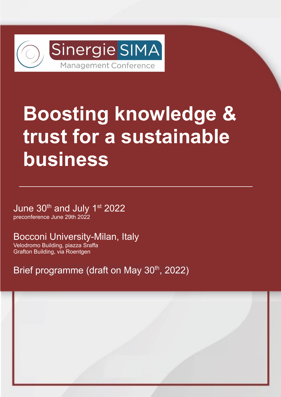

# **Boosting knowledge & trust for a sustainable business**

June 30<sup>th</sup> and July 1<sup>st</sup> 2022 preconference June 29th 2022

Bocconi University-Milan, Italy

Velodromo Building, piazza Sraffa Grafton Building, via Roentgen

Brief programme (draft on May 30<sup>th</sup>, 2022)

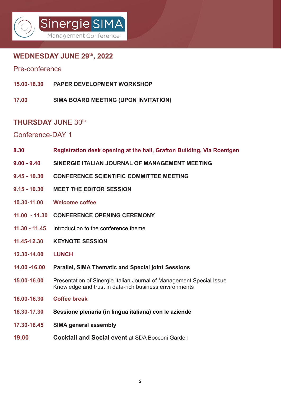## Sinergie SIMA Management Confere

### **WEDNESDAY JUNE 29th, 2022**

#### Pre-conference

- **15.00-18.30 PAPER DEVELOPMENT WORKSHOP**
- **17.00 SIMA BOARD MEETING (UPON INVITATION)**

#### **THURSDAY** JUNE 30th

#### Conference-DAY 1

- **8.30 Registration desk opening at the hall, Grafton Building, Via Roentgen**
- **9.00 9.40 SINERGIE ITALIAN JOURNAL OF MANAGEMENT MEETING**
- **9.45 10.30 CONFERENCE SCIENTIFIC COMMITTEE MEETING**
- **9.15 10.30 MEET THE EDITOR SESSION**
- **10.30-11.00 Welcome coffee**
- **11.00 11.30 CONFERENCE OPENING CEREMONY**
- **11.30 11.45** Introduction to the conference theme
- **11.45-12.30 KEYNOTE SESSION**
- **12.30-14.00 LUNCH**
- **14.00 -16.00 Parallel, SIMA Thematic and Special joint Sessions**
- **15.00-16.00** Presentation of Sinergie Italian Journal of Management Special Issue Knowledge and trust in data-rich business environments
- **16.00-16.30 Coffee break**
- **16.30-17.30 Sessione plenaria (in lingua italiana) con le aziende**
- **17.30-18.45 SIMA general assembly**
- **19.00 Cocktail and Social event** at SDA Bocconi Garden